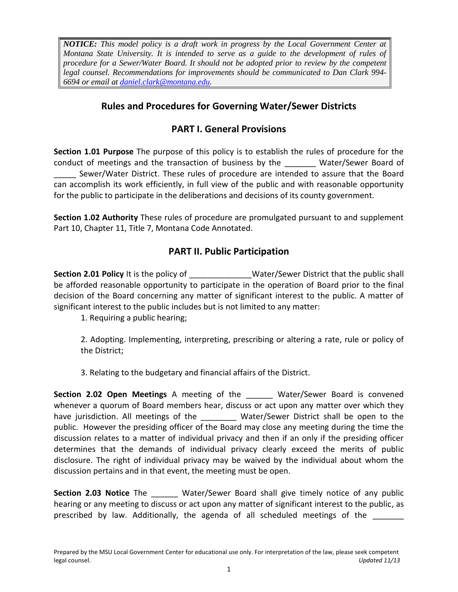*NOTICE: This model policy is a draft work in progress by the Local Government Center at Montana State University. It is intended to serve as a guide to the development of rules of procedure for a Sewer/Water Board. It should not be adopted prior to review by the competent legal counsel. Recommendations for improvements should be communicated to Dan Clark 994- 6694 or email at [daniel.clark@montana.edu.](mailto:daniel.clark@montana.edu)* 

## **Rules and Procedures for Governing Water/Sewer Districts**

# **PART I. General Provisions**

**Section 1.01 Purpose** The purpose of this policy is to establish the rules of procedure for the conduct of meetings and the transaction of business by the Water/Sewer Board of Sewer/Water District. These rules of procedure are intended to assure that the Board can accomplish its work efficiently, in full view of the public and with reasonable opportunity for the public to participate in the deliberations and decisions of its county government.

**Section 1.02 Authority** These rules of procedure are promulgated pursuant to and supplement Part 10, Chapter 11, Title 7, Montana Code Annotated.

## **PART II. Public Participation**

**Section 2.01 Policy** It is the policy of **Water/Sewer District that the public shall** be afforded reasonable opportunity to participate in the operation of Board prior to the final decision of the Board concerning any matter of significant interest to the public. A matter of significant interest to the public includes but is not limited to any matter:

1. Requiring a public hearing;

2. Adopting. Implementing, interpreting, prescribing or altering a rate, rule or policy of the District;

3. Relating to the budgetary and financial affairs of the District.

**Section 2.02 Open Meetings** A meeting of the \_\_\_\_\_\_ Water/Sewer Board is convened whenever a quorum of Board members hear, discuss or act upon any matter over which they have jurisdiction. All meetings of the **Water/Sewer District shall be open to the** public. However the presiding officer of the Board may close any meeting during the time the discussion relates to a matter of individual privacy and then if an only if the presiding officer determines that the demands of individual privacy clearly exceed the merits of public disclosure. The right of individual privacy may be waived by the individual about whom the discussion pertains and in that event, the meeting must be open.

**Section 2.03 Notice** The \_\_\_\_\_\_ Water/Sewer Board shall give timely notice of any public hearing or any meeting to discuss or act upon any matter of significant interest to the public, as prescribed by law. Additionally, the agenda of all scheduled meetings of the \_\_\_\_\_\_\_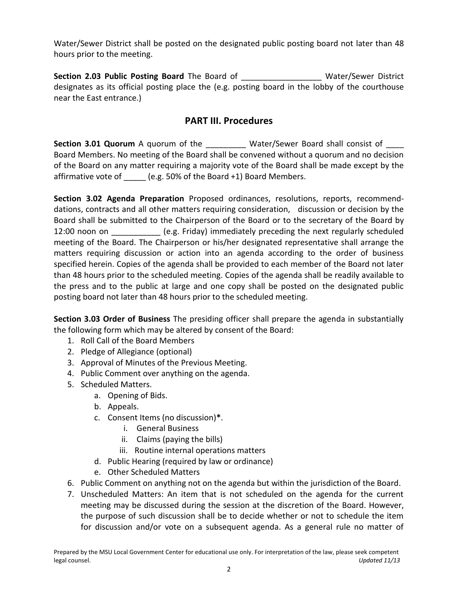Water/Sewer District shall be posted on the designated public posting board not later than 48 hours prior to the meeting.

**Section 2.03 Public Posting Board** The Board of **The Water/Sewer District** designates as its official posting place the (e.g. posting board in the lobby of the courthouse near the East entrance.)

#### **PART III. Procedures**

**Section 3.01 Quorum** A quorum of the **Water/Sewer Board shall consist of** Board Members. No meeting of the Board shall be convened without a quorum and no decision of the Board on any matter requiring a majority vote of the Board shall be made except by the affirmative vote of (e.g. 50% of the Board +1) Board Members.

**Section 3.02 Agenda Preparation** Proposed ordinances, resolutions, reports, recommenddations, contracts and all other matters requiring consideration, discussion or decision by the Board shall be submitted to the Chairperson of the Board or to the secretary of the Board by 12:00 noon on **Example 12:00 noon** on **EXECUTE:** (e.g. Friday) immediately preceding the next regularly scheduled meeting of the Board. The Chairperson or his/her designated representative shall arrange the matters requiring discussion or action into an agenda according to the order of business specified herein. Copies of the agenda shall be provided to each member of the Board not later than 48 hours prior to the scheduled meeting. Copies of the agenda shall be readily available to the press and to the public at large and one copy shall be posted on the designated public posting board not later than 48 hours prior to the scheduled meeting.

**Section 3.03 Order of Business** The presiding officer shall prepare the agenda in substantially the following form which may be altered by consent of the Board:

- 1. Roll Call of the Board Members
- 2. Pledge of Allegiance (optional)
- 3. Approval of Minutes of the Previous Meeting.
- 4. Public Comment over anything on the agenda.
- 5. Scheduled Matters.
	- a. Opening of Bids.
	- b. Appeals.
	- c. Consent Items (no discussion)**\***.
		- i. General Business
		- ii. Claims (paying the bills)
		- iii. Routine internal operations matters
	- d. Public Hearing (required by law or ordinance)
	- e. Other Scheduled Matters
- 6. Public Comment on anything not on the agenda but within the jurisdiction of the Board.
- 7. Unscheduled Matters: An item that is not scheduled on the agenda for the current meeting may be discussed during the session at the discretion of the Board. However, the purpose of such discussion shall be to decide whether or not to schedule the item for discussion and/or vote on a subsequent agenda. As a general rule no matter of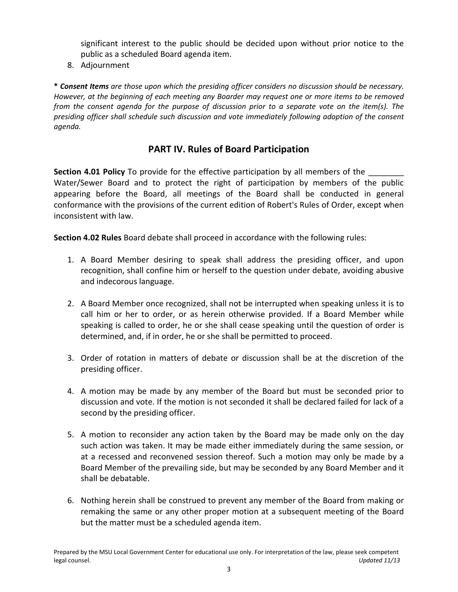significant interest to the public should be decided upon without prior notice to the public as a scheduled Board agenda item.

8. Adjournment

**\*** *Consent Items are those upon which the presiding officer considers no discussion should be necessary. However, at the beginning of each meeting any Boarder may request one or more items to be removed from the consent agenda for the purpose of discussion prior to a separate vote on the item(s). The presiding officer shall schedule such discussion and vote immediately following adoption of the consent agenda.*

#### **PART IV. Rules of Board Participation**

**Section 4.01 Policy** To provide for the effective participation by all members of the Water/Sewer Board and to protect the right of participation by members of the public appearing before the Board, all meetings of the Board shall be conducted in general conformance with the provisions of the current edition of Robert's Rules of Order, except when inconsistent with law.

**Section 4.02 Rules** Board debate shall proceed in accordance with the following rules:

- 1. A Board Member desiring to speak shall address the presiding officer, and upon recognition, shall confine him or herself to the question under debate, avoiding abusive and indecorous language.
- 2. A Board Member once recognized, shall not be interrupted when speaking unless it is to call him or her to order, or as herein otherwise provided. If a Board Member while speaking is called to order, he or she shall cease speaking until the question of order is determined, and, if in order, he or she shall be permitted to proceed.
- 3. Order of rotation in matters of debate or discussion shall be at the discretion of the presiding officer.
- 4. A motion may be made by any member of the Board but must be seconded prior to discussion and vote. If the motion is not seconded it shall be declared failed for lack of a second by the presiding officer.
- 5. A motion to reconsider any action taken by the Board may be made only on the day such action was taken. It may be made either immediately during the same session, or at a recessed and reconvened session thereof. Such a motion may only be made by a Board Member of the prevailing side, but may be seconded by any Board Member and it shall be debatable.
- 6. Nothing herein shall be construed to prevent any member of the Board from making or remaking the same or any other proper motion at a subsequent meeting of the Board but the matter must be a scheduled agenda item.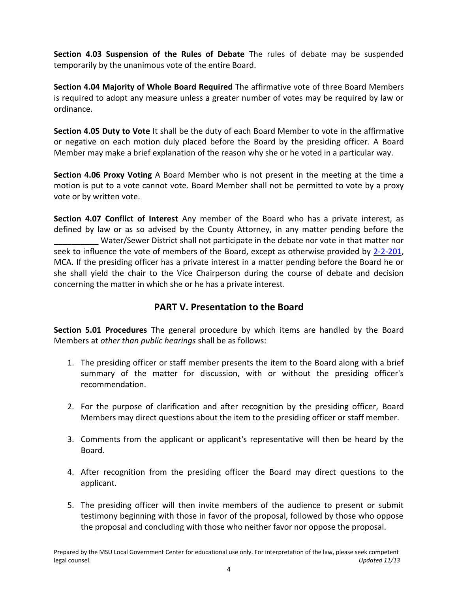**Section 4.03 Suspension of the Rules of Debate** The rules of debate may be suspended temporarily by the unanimous vote of the entire Board.

**Section 4.04 Majority of Whole Board Required** The affirmative vote of three Board Members is required to adopt any measure unless a greater number of votes may be required by law or ordinance.

**Section 4.05 Duty to Vote** It shall be the duty of each Board Member to vote in the affirmative or negative on each motion duly placed before the Board by the presiding officer. A Board Member may make a brief explanation of the reason why she or he voted in a particular way.

**Section 4.06 Proxy Voting** A Board Member who is not present in the meeting at the time a motion is put to a vote cannot vote. Board Member shall not be permitted to vote by a proxy vote or by written vote.

**Section 4.07 Conflict of Interest** Any member of the Board who has a private interest, as defined by law or as so advised by the County Attorney, in any matter pending before the \_\_\_\_\_\_\_\_\_\_ Water/Sewer District shall not participate in the debate nor vote in that matter nor seek to influence the vote of members of the Board, except as otherwise provided by [2-2-201,](http://leg.mt.gov/bills/mca/2/2/2-2-201.htm) MCA. If the presiding officer has a private interest in a matter pending before the Board he or she shall yield the chair to the Vice Chairperson during the course of debate and decision concerning the matter in which she or he has a private interest.

## **PART V. Presentation to the Board**

**Section 5.01 Procedures** The general procedure by which items are handled by the Board Members at *other than public hearings* shall be as follows:

- 1. The presiding officer or staff member presents the item to the Board along with a brief summary of the matter for discussion, with or without the presiding officer's recommendation.
- 2. For the purpose of clarification and after recognition by the presiding officer, Board Members may direct questions about the item to the presiding officer or staff member.
- 3. Comments from the applicant or applicant's representative will then be heard by the Board.
- 4. After recognition from the presiding officer the Board may direct questions to the applicant.
- 5. The presiding officer will then invite members of the audience to present or submit testimony beginning with those in favor of the proposal, followed by those who oppose the proposal and concluding with those who neither favor nor oppose the proposal.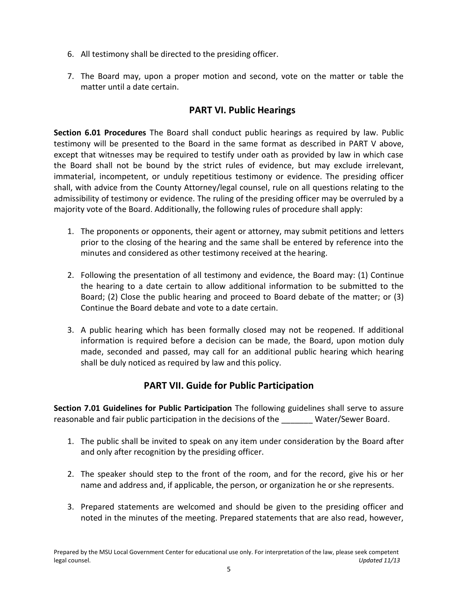- 6. All testimony shall be directed to the presiding officer.
- 7. The Board may, upon a proper motion and second, vote on the matter or table the matter until a date certain.

#### **PART VI. Public Hearings**

**Section 6.01 Procedures** The Board shall conduct public hearings as required by law. Public testimony will be presented to the Board in the same format as described in PART V above, except that witnesses may be required to testify under oath as provided by law in which case the Board shall not be bound by the strict rules of evidence, but may exclude irrelevant, immaterial, incompetent, or unduly repetitious testimony or evidence. The presiding officer shall, with advice from the County Attorney/legal counsel, rule on all questions relating to the admissibility of testimony or evidence. The ruling of the presiding officer may be overruled by a majority vote of the Board. Additionally, the following rules of procedure shall apply:

- 1. The proponents or opponents, their agent or attorney, may submit petitions and letters prior to the closing of the hearing and the same shall be entered by reference into the minutes and considered as other testimony received at the hearing.
- 2. Following the presentation of all testimony and evidence, the Board may: (1) Continue the hearing to a date certain to allow additional information to be submitted to the Board; (2) Close the public hearing and proceed to Board debate of the matter; or (3) Continue the Board debate and vote to a date certain.
- 3. A public hearing which has been formally closed may not be reopened. If additional information is required before a decision can be made, the Board, upon motion duly made, seconded and passed, may call for an additional public hearing which hearing shall be duly noticed as required by law and this policy.

## **PART VII. Guide for Public Participation**

**Section 7.01 Guidelines for Public Participation** The following guidelines shall serve to assure reasonable and fair public participation in the decisions of the Water/Sewer Board.

- 1. The public shall be invited to speak on any item under consideration by the Board after and only after recognition by the presiding officer.
- 2. The speaker should step to the front of the room, and for the record, give his or her name and address and, if applicable, the person, or organization he or she represents.
- 3. Prepared statements are welcomed and should be given to the presiding officer and noted in the minutes of the meeting. Prepared statements that are also read, however,